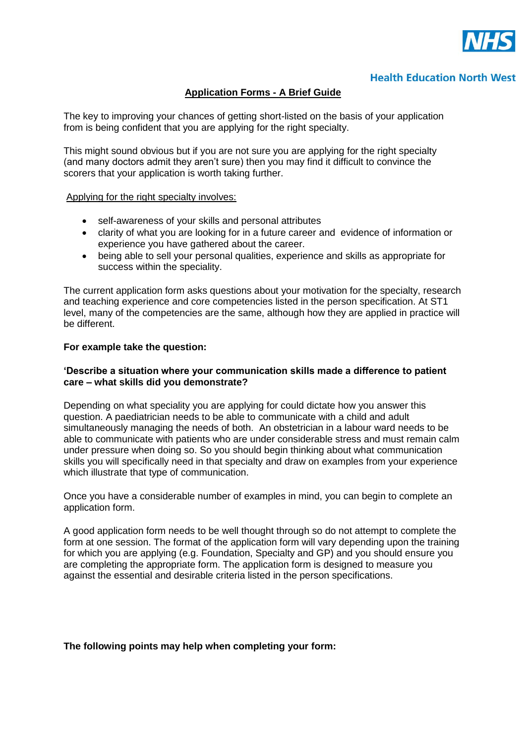

# **Health Education North West**

## **Application Forms - A Brief Guide**

The key to improving your chances of getting short-listed on the basis of your application from is being confident that you are applying for the right specialty.

This might sound obvious but if you are not sure you are applying for the right specialty (and many doctors admit they aren't sure) then you may find it difficult to convince the scorers that your application is worth taking further.

#### Applying for the right specialty involves:

- self-awareness of your skills and personal attributes
- clarity of what you are looking for in a future career and evidence of information or experience you have gathered about the career.
- being able to sell your personal qualities, experience and skills as appropriate for success within the speciality.

The current application form asks questions about your motivation for the specialty, research and teaching experience and core competencies listed in the person specification. At ST1 level, many of the competencies are the same, although how they are applied in practice will be different.

### **For example take the question:**

### **'Describe a situation where your communication skills made a difference to patient care – what skills did you demonstrate?**

Depending on what speciality you are applying for could dictate how you answer this question. A paediatrician needs to be able to communicate with a child and adult simultaneously managing the needs of both. An obstetrician in a labour ward needs to be able to communicate with patients who are under considerable stress and must remain calm under pressure when doing so. So you should begin thinking about what communication skills you will specifically need in that specialty and draw on examples from your experience which illustrate that type of communication.

Once you have a considerable number of examples in mind, you can begin to complete an application form.

A good application form needs to be well thought through so do not attempt to complete the form at one session. The format of the application form will vary depending upon the training for which you are applying (e.g. Foundation, Specialty and GP) and you should ensure you are completing the appropriate form. The application form is designed to measure you against the essential and desirable criteria listed in the person specifications.

## **The following points may help when completing your form:**